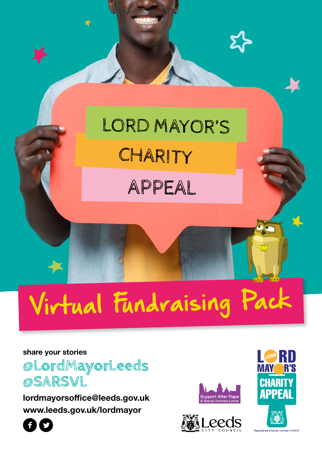# **CHARITY** LORD MAYOR'S

APPEAL

# Virtual Fundraising Pack

#### **share your stories**

**@LordMayorLeeds @SARSVL**

**lordmayorsoffice@leeds.gov.uk www.leeds.gov.uk/lordmayor**











nher 512441 **Registered Charity**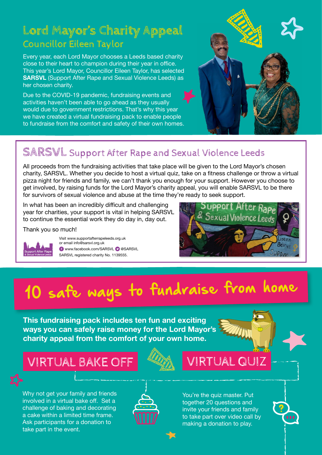#### **Lord Mayor's Charity Appeal** Councillor Eileen Taylor

Every year, each Lord Mayor chooses a Leeds based charity close to their heart to champion during their year in office. This year's Lord Mayor, Councillor Eileen Taylor, has selected **SARSVL** (Support After Rape and Sexual Violence Leeds) as her chosen charity.

Due to the COVID-19 pandemic, fundraising events and activities haven't been able to go ahead as they usually would due to government restrictions. That's why this year we have created a virtual fundraising pack to enable people to fundraise from the comfort and safety of their own homes.



#### **SARSVL** Support After Rape and Sexual Violence Leeds

All proceeds from the fundraising activities that take place will be given to the Lord Mayor's chosen charity, SARSVL. Whether you decide to host a virtual quiz, take on a fitness challenge or throw a virtual pizza night for friends and family, we can't thank you enough for your support. However you choose to get involved, by raising funds for the Lord Mayor's charity appeal, you will enable SARSVL to be there for survivors of sexual violence and abuse at the time they're ready to seek support.

In what has been an incredibly difficult and challenging year for charities, your support is vital in helping SARSVL to continue the essential work they do day in, day out.

Thank you so much!



Visit www.supportafterrapeleeds.org.uk or email info@sarsvl.org.uk **O** www.facebook.com/SARSVL @ @SARSVL SARSVL registered charity No. 1139555.



# 10 safe ways to fundraise from home

**This fundraising pack includes ten fun and exciting ways you can safely raise money for the Lord Mayor's charity appeal from the comfort of your own home.**

VIRTUAL BAKE OFF |  $\mathbb{Z}$  | VIRTUAL QUIZ

Why not get your family and friends involved in a virtual bake off. Set a challenge of baking and decorating a cake within a limited time frame. Ask participants for a donation to take part in the event.



You're the quiz master. Put together 20 questions and invite your friends and family to take part over video call by making a donation to play.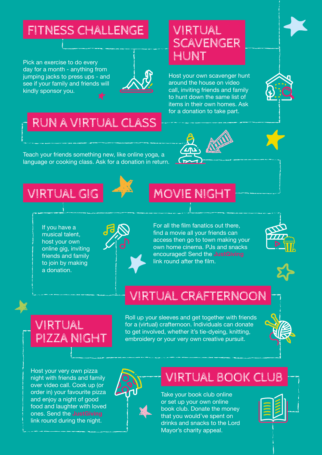#### FITNESS CHALLENGE VIRTUAL

Pick an exercise to do every day for a month - anything from jumping jacks to press ups - and see if your family and friends will kindly sponsor you.



### SCAVENGER HUNT

Host your own scavenger hunt around the house on video call, inviting friends and family to hunt down the same list of items in their own homes. Ask for a donation to take part.

### RUN A VIRTUAL CLASS

Teach your friends something new, like online yoga, a language or cooking class. Ask for a donation in return.





#### VIRTUAL GIG

If you have a musical talent, host your own online gig, inviting friends and family to join by making a donation.



#### MOVIE NIGHT

For all the film fanatics out there, find a movie all your friends can access then go to town making your own home cinema. PJs and snacks encouraged! Send the **[JustGiving](https://www.justgiving.com/)** link round after the film.





### VIRTUAL CRAFTERNOON

VIRTUAL PIZZA NIGHT Roll up your sleeves and get together with friends for a (virtual) crafternoon. Individuals can donate to get involved, whether it's tie-dyeing, knitting, embroidery or your very own creative pursuit.



Host your very own pizza night with friends and family over video call. Cook up (or order in) your favourite pizza and enjoy a night of good food and laughter with loved ones. Send the **[JustGiving](https://www.justgiving.com/)** link round during the night.



#### VIRTUAL BOOK CLUB

Take your book club online or set up your own online book club. Donate the money that you would've spent on drinks and snacks to the Lord Mayor's charity appeal.